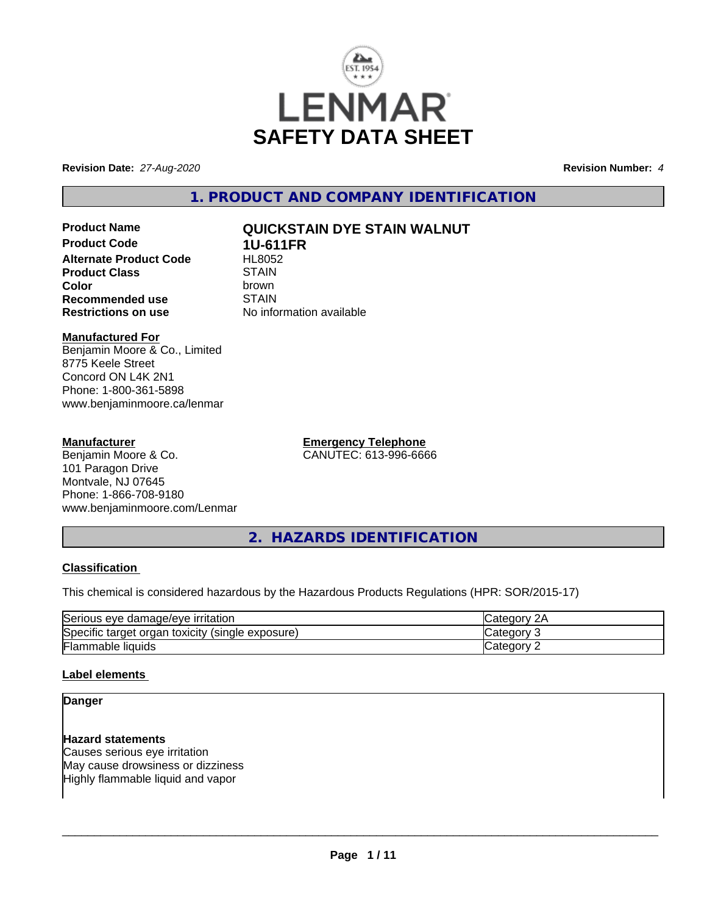

**Revision Date:** *27-Aug-2020* **Revision Number:** *4*

**1. PRODUCT AND COMPANY IDENTIFICATION**

# **Product Name QUICKSTAIN DYE STAIN WALNUT**

**Product Code 1U-611FR**<br>Alternate Product Code HL8052 **Alternate Product Code HL8052**<br>Product Class STAIN **Product Class** STAIN<br> **Color Recommended use** STAIN<br> **Restrictions on use** No info

**Color** brown **No information available** 

# **Manufactured For**

Benjamin Moore & Co., Limited 8775 Keele Street Concord ON L4K 2N1 Phone: 1-800-361-5898 www.benjaminmoore.ca/lenmar

# **Manufacturer**

Benjamin Moore & Co. 101 Paragon Drive Montvale, NJ 07645 Phone: 1-866-708-9180 www.benjaminmoore.com/Lenmar **Emergency Telephone** CANUTEC: 613-996-6666

**2. HAZARDS IDENTIFICATION**

# **Classification**

This chemical is considered hazardous by the Hazardous Products Regulations (HPR: SOR/2015-17)

| Serious<br>∘ damaɑe/eve<br><b>irritation</b><br>eve          | и.    |
|--------------------------------------------------------------|-------|
| Specific<br>(single exposure)<br>toxicity<br>organ<br>target | аог   |
| Flammable<br><b>liquids</b>                                  | .eaor |

# **Label elements**

# **Danger**

# **Hazard statements**

Causes serious eye irritation May cause drowsiness or dizziness Highly flammable liquid and vapor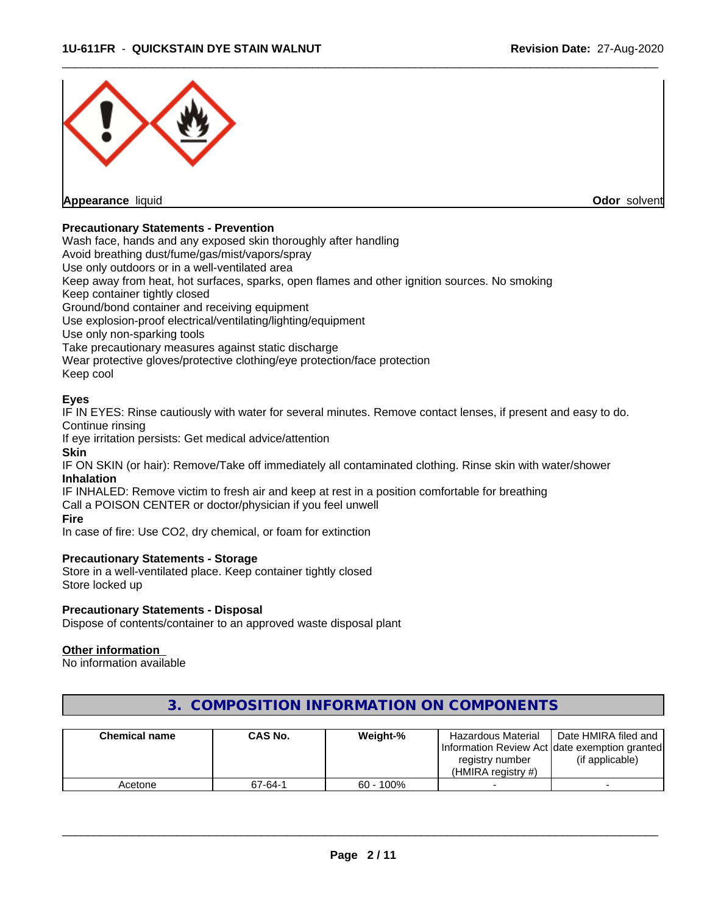

# **Precautionary Statements - Prevention**

Wash face, hands and any exposed skin thoroughly after handling

Avoid breathing dust/fume/gas/mist/vapors/spray

Use only outdoors or in a well-ventilated area

Keep away from heat, hot surfaces, sparks, open flames and other ignition sources. No smoking

Keep container tightly closed

Ground/bond container and receiving equipment

Use explosion-proof electrical/ventilating/lighting/equipment

Use only non-sparking tools

Take precautionary measures against static discharge

Wear protective gloves/protective clothing/eye protection/face protection

Keep cool

# **Eyes**

IF IN EYES: Rinse cautiously with water for several minutes. Remove contact lenses, if present and easy to do. Continue rinsing

If eye irritation persists: Get medical advice/attention

#### **Skin**

IF ON SKIN (or hair): Remove/Take off immediately all contaminated clothing. Rinse skin with water/shower **Inhalation**

IF INHALED: Remove victim to fresh air and keep at rest in a position comfortable for breathing Call a POISON CENTER or doctor/physician if you feel unwell

#### **Fire**

In case of fire: Use CO2, dry chemical, or foam for extinction

# **Precautionary Statements - Storage**

Store in a well-ventilated place. Keep container tightly closed Store locked up

# **Precautionary Statements - Disposal**

Dispose of contents/container to an approved waste disposal plant

# **Other information**

No information available

| <b>Chemical name</b> | <b>CAS No.</b> | Weight-%     | Hazardous Material                            | Date HMIRA filed and |
|----------------------|----------------|--------------|-----------------------------------------------|----------------------|
|                      |                |              | Information Review Act date exemption granted |                      |
|                      |                |              | registry number                               | (if applicable)      |
|                      |                |              | (HMIRA reaistry #)                            |                      |
| Acetone              | 67-64-1        | $60 - 100\%$ |                                               |                      |

# **3. COMPOSITION INFORMATION ON COMPONENTS**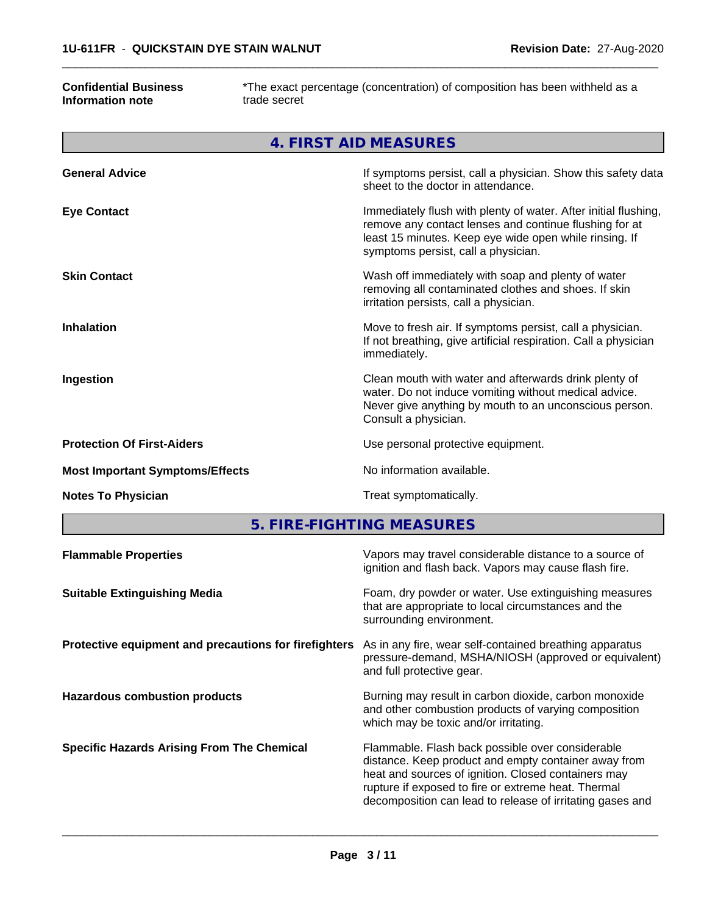# **Confidential Business Information note**

г

\*The exact percentage (concentration) of composition has been withheld as a trade secret

 $\overline{\phantom{a}}$  ,  $\overline{\phantom{a}}$  ,  $\overline{\phantom{a}}$  ,  $\overline{\phantom{a}}$  ,  $\overline{\phantom{a}}$  ,  $\overline{\phantom{a}}$  ,  $\overline{\phantom{a}}$  ,  $\overline{\phantom{a}}$  ,  $\overline{\phantom{a}}$  ,  $\overline{\phantom{a}}$  ,  $\overline{\phantom{a}}$  ,  $\overline{\phantom{a}}$  ,  $\overline{\phantom{a}}$  ,  $\overline{\phantom{a}}$  ,  $\overline{\phantom{a}}$  ,  $\overline{\phantom{a}}$ 

| 4. FIRST AID MEASURES                  |                                                                                                                                                                                                                            |  |  |
|----------------------------------------|----------------------------------------------------------------------------------------------------------------------------------------------------------------------------------------------------------------------------|--|--|
| <b>General Advice</b>                  | If symptoms persist, call a physician. Show this safety data<br>sheet to the doctor in attendance.                                                                                                                         |  |  |
| <b>Eye Contact</b>                     | Immediately flush with plenty of water. After initial flushing,<br>remove any contact lenses and continue flushing for at<br>least 15 minutes. Keep eye wide open while rinsing. If<br>symptoms persist, call a physician. |  |  |
| <b>Skin Contact</b>                    | Wash off immediately with soap and plenty of water<br>removing all contaminated clothes and shoes. If skin<br>irritation persists, call a physician.                                                                       |  |  |
| <b>Inhalation</b>                      | Move to fresh air. If symptoms persist, call a physician.<br>If not breathing, give artificial respiration. Call a physician<br>immediately.                                                                               |  |  |
| Ingestion                              | Clean mouth with water and afterwards drink plenty of<br>water. Do not induce vomiting without medical advice.<br>Never give anything by mouth to an unconscious person.<br>Consult a physician.                           |  |  |
| <b>Protection Of First-Aiders</b>      | Use personal protective equipment.                                                                                                                                                                                         |  |  |
| <b>Most Important Symptoms/Effects</b> | No information available.                                                                                                                                                                                                  |  |  |
| <b>Notes To Physician</b>              | Treat symptomatically.                                                                                                                                                                                                     |  |  |

**5. FIRE-FIGHTING MEASURES**

| <b>Flammable Properties</b>                           | Vapors may travel considerable distance to a source of<br>ignition and flash back. Vapors may cause flash fire.                                                                                                                                                                     |
|-------------------------------------------------------|-------------------------------------------------------------------------------------------------------------------------------------------------------------------------------------------------------------------------------------------------------------------------------------|
| <b>Suitable Extinguishing Media</b>                   | Foam, dry powder or water. Use extinguishing measures<br>that are appropriate to local circumstances and the<br>surrounding environment.                                                                                                                                            |
| Protective equipment and precautions for firefighters | As in any fire, wear self-contained breathing apparatus<br>pressure-demand, MSHA/NIOSH (approved or equivalent)<br>and full protective gear.                                                                                                                                        |
| <b>Hazardous combustion products</b>                  | Burning may result in carbon dioxide, carbon monoxide<br>and other combustion products of varying composition<br>which may be toxic and/or irritating.                                                                                                                              |
| <b>Specific Hazards Arising From The Chemical</b>     | Flammable. Flash back possible over considerable<br>distance. Keep product and empty container away from<br>heat and sources of ignition. Closed containers may<br>rupture if exposed to fire or extreme heat. Thermal<br>decomposition can lead to release of irritating gases and |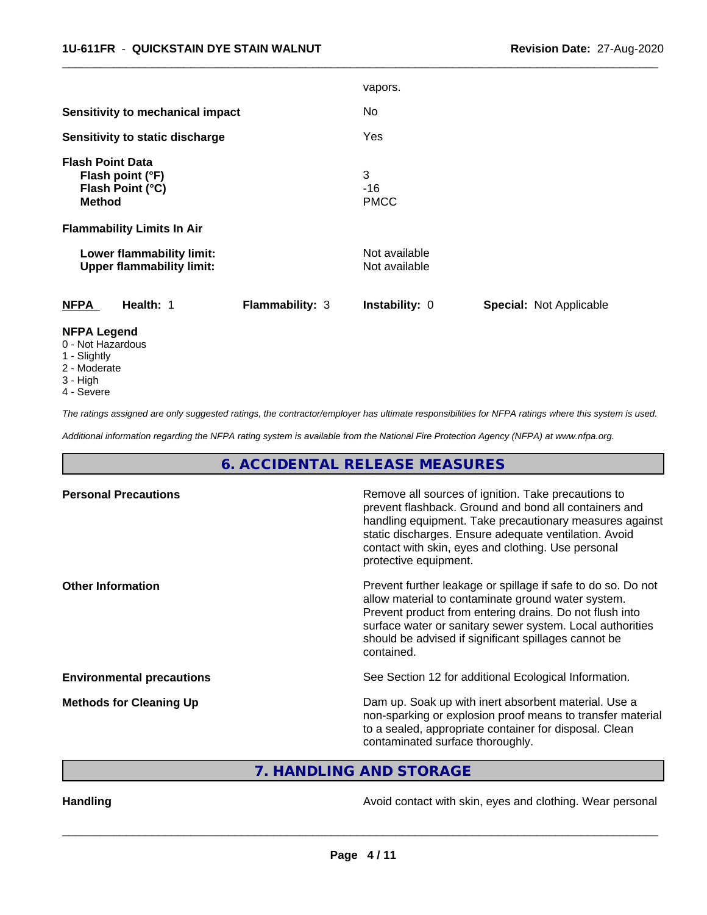|                                                                                  |                 | vapors.                        |                                |
|----------------------------------------------------------------------------------|-----------------|--------------------------------|--------------------------------|
| <b>Sensitivity to mechanical impact</b>                                          |                 | No                             |                                |
| Sensitivity to static discharge                                                  |                 | Yes                            |                                |
| <b>Flash Point Data</b><br>Flash point (°F)<br>Flash Point (°C)<br><b>Method</b> |                 | 3<br>$-16$<br><b>PMCC</b>      |                                |
| <b>Flammability Limits In Air</b>                                                |                 |                                |                                |
| Lower flammability limit:<br><b>Upper flammability limit:</b>                    |                 | Not available<br>Not available |                                |
| <b>NFPA</b><br>Health: 1                                                         | Flammability: 3 | Instability: 0                 | <b>Special: Not Applicable</b> |
| <b>NFPA Legend</b><br>0 - Not Hazardous                                          |                 |                                |                                |

 $\overline{\phantom{a}}$  ,  $\overline{\phantom{a}}$  ,  $\overline{\phantom{a}}$  ,  $\overline{\phantom{a}}$  ,  $\overline{\phantom{a}}$  ,  $\overline{\phantom{a}}$  ,  $\overline{\phantom{a}}$  ,  $\overline{\phantom{a}}$  ,  $\overline{\phantom{a}}$  ,  $\overline{\phantom{a}}$  ,  $\overline{\phantom{a}}$  ,  $\overline{\phantom{a}}$  ,  $\overline{\phantom{a}}$  ,  $\overline{\phantom{a}}$  ,  $\overline{\phantom{a}}$  ,  $\overline{\phantom{a}}$ 

- 1 Slightly
- 2 Moderate
- 3 High
- 
- 4 Severe

*The ratings assigned are only suggested ratings, the contractor/employer has ultimate responsibilities for NFPA ratings where this system is used.*

*Additional information regarding the NFPA rating system is available from the National Fire Protection Agency (NFPA) at www.nfpa.org.*

# **6. ACCIDENTAL RELEASE MEASURES**

| <b>Personal Precautions</b>      | Remove all sources of ignition. Take precautions to<br>prevent flashback. Ground and bond all containers and<br>handling equipment. Take precautionary measures against<br>static discharges. Ensure adequate ventilation. Avoid<br>contact with skin, eyes and clothing. Use personal<br>protective equipment.  |
|----------------------------------|------------------------------------------------------------------------------------------------------------------------------------------------------------------------------------------------------------------------------------------------------------------------------------------------------------------|
| <b>Other Information</b>         | Prevent further leakage or spillage if safe to do so. Do not<br>allow material to contaminate ground water system.<br>Prevent product from entering drains. Do not flush into<br>surface water or sanitary sewer system. Local authorities<br>should be advised if significant spillages cannot be<br>contained. |
| <b>Environmental precautions</b> | See Section 12 for additional Ecological Information.                                                                                                                                                                                                                                                            |
| <b>Methods for Cleaning Up</b>   | Dam up. Soak up with inert absorbent material. Use a<br>non-sparking or explosion proof means to transfer material<br>to a sealed, appropriate container for disposal. Clean<br>contaminated surface thoroughly.                                                                                                 |

**7. HANDLING AND STORAGE**

Handling **Handling Handling Avoid contact with skin, eyes and clothing. Wear personal**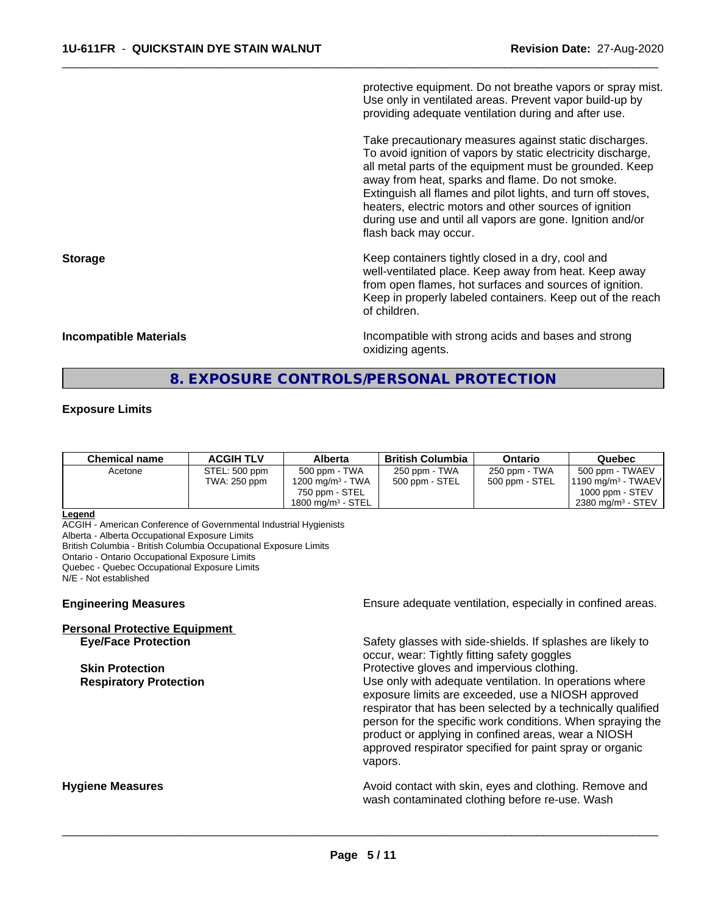protective equipment. Do not breathe vapors or spray mist. Use only in ventilated areas. Prevent vapor build-up by providing adequate ventilation during and after use.

 $\overline{\phantom{a}}$  ,  $\overline{\phantom{a}}$  ,  $\overline{\phantom{a}}$  ,  $\overline{\phantom{a}}$  ,  $\overline{\phantom{a}}$  ,  $\overline{\phantom{a}}$  ,  $\overline{\phantom{a}}$  ,  $\overline{\phantom{a}}$  ,  $\overline{\phantom{a}}$  ,  $\overline{\phantom{a}}$  ,  $\overline{\phantom{a}}$  ,  $\overline{\phantom{a}}$  ,  $\overline{\phantom{a}}$  ,  $\overline{\phantom{a}}$  ,  $\overline{\phantom{a}}$  ,  $\overline{\phantom{a}}$ 

Take precautionary measures against static discharges. To avoid ignition of vapors by static electricity discharge, all metal parts of the equipment must be grounded. Keep away from heat, sparks and flame. Do not smoke. Extinguish all flames and pilot lights, and turn off stoves, heaters, electric motors and other sources of ignition during use and until all vapors are gone. Ignition and/or flash back may occur.

**Storage Keep containers tightly closed in a dry, cool and get a dry and structure in a dry and structure in a dry and structure in a dry and structure in a dry and structure in a dry and structure in a dry and structure** well-ventilated place. Keep away from heat. Keep away from open flames, hot surfaces and sources of ignition. Keep in properly labeled containers. Keep out of the reach of children.

**Incompatible Materials Incompatible with strong acids and bases and strong** oxidizing agents.

# **8. EXPOSURE CONTROLS/PERSONAL PROTECTION**

# **Exposure Limits**

| 500 ppm - TWA<br>250 ppm - TWA<br>250 ppm - TWA<br>STEL: 500 ppm<br>500 ppm - TWAEV<br>Acetone<br>1200 mg/m <sup>3</sup> - TWA<br>500 ppm - STEL<br>500 ppm - STEL<br>TWA: 250 ppm<br>1000 ppm - $STEV$<br>750 ppm - STEL<br>$2380$ mg/m <sup>3</sup> - STEV<br>1800 ma/m $3$ - STEL | Chemical name | <b>ACGIH TLV</b> | Alberta | <b>British Columbia</b> | Ontario | Quebec                        |
|--------------------------------------------------------------------------------------------------------------------------------------------------------------------------------------------------------------------------------------------------------------------------------------|---------------|------------------|---------|-------------------------|---------|-------------------------------|
|                                                                                                                                                                                                                                                                                      |               |                  |         |                         |         | $1190 \text{ mg/m}^3$ - TWAEV |

#### **Legend**

ACGIH - American Conference of Governmental Industrial Hygienists

Alberta - Alberta Occupational Exposure Limits

British Columbia - British Columbia Occupational Exposure Limits

Ontario - Ontario Occupational Exposure Limits

Quebec - Quebec Occupational Exposure Limits

N/E - Not established

# **Personal Protective Equipment**

**Engineering Measures Ensure** Ensure adequate ventilation, especially in confined areas.

**Eye/Face Protection** Safety glasses with side-shields. If splashes are likely to occur, wear: Tightly fitting safety goggles **Skin Protection Protection Protective gloves and impervious clothing. Respiratory Protection Number 1** (Use only with adequate ventilation. In operations where exposure limits are exceeded, use a NIOSH approved respirator that has been selected by a technically qualified person for the specific work conditions. When spraying the product or applying in confined areas, wear a NIOSH approved respirator specified for paint spray or organic vapors.

**Hygiene Measures Avoid contact with skin, eyes and clothing. Remove and Avoid contact with skin, eyes and clothing. Remove and Avoid contact with skin, eyes and clothing. Remove and** wash contaminated clothing before re-use. Wash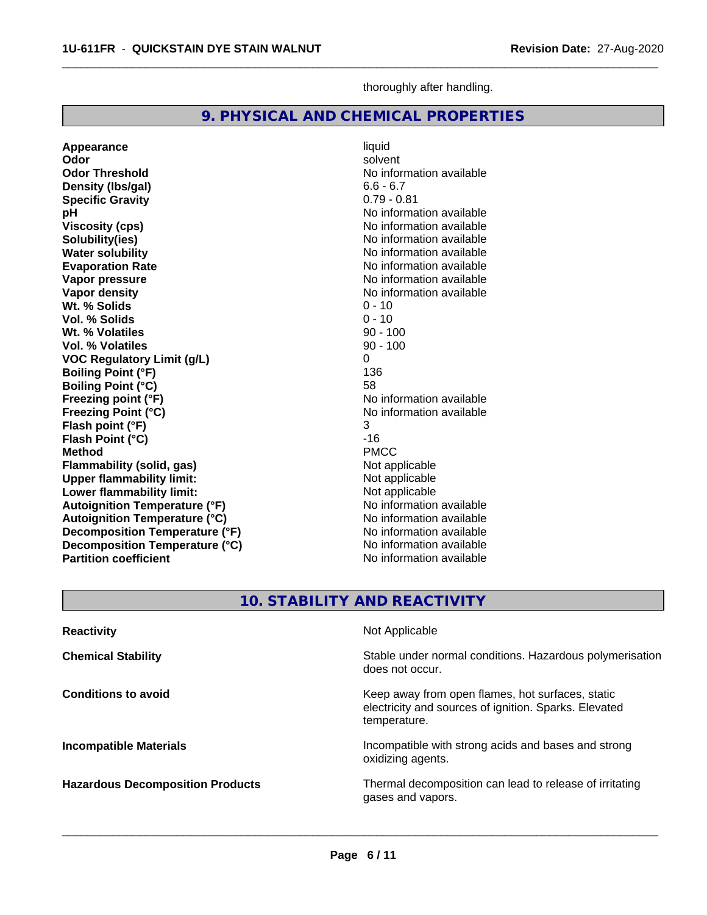**Specific Gravity**<br>pH

**Vol. % Solids** 

**Appearance** liquid and liquid liquid and liquid solvent

**Wt. % Solids** 0 - 10<br> **Vol. % Solids** 0 - 10

**Wt. % Volatiles** 90 - 100

**Density (lbs/gal)** 6.6 - 6.7<br> **Specific Gravity** 6.79 - 0.81

**Odor** solvent **Odor Threshold** No information available

**pH**<br>
Viscosity (cps) The Contract of the Contract of the Viscosity (cps) and Viscosity (cps) **Viscosity (cps)** No information available<br> **Solubility(ies)** No information available<br>
No information available

**Water solubility**<br> **Evaporation Rate**<br> **Evaporation Rate**<br> **Evaporation Rate**<br> **Evaporation Rate Evaporation Rate Evaporation Rate** No information available<br> **Vapor pressure** No information available

**Vapor density**<br> **Vapor density**<br> **With % Solids**<br>
With % Solids<br>  $0 - 10$ 

| <b>Vol. % Volatiles</b>                                    | $90 - 100$                                               |  |  |
|------------------------------------------------------------|----------------------------------------------------------|--|--|
| <b>VOC Regulatory Limit (g/L)</b>                          | 0                                                        |  |  |
| <b>Boiling Point (°F)</b>                                  | 136                                                      |  |  |
| <b>Boiling Point (°C)</b>                                  | 58                                                       |  |  |
| Freezing point (°F)                                        | No information available                                 |  |  |
| <b>Freezing Point (°C)</b>                                 | No information available                                 |  |  |
| Flash point (°F)                                           | 3                                                        |  |  |
| Flash Point (°C)                                           | $-16$                                                    |  |  |
| <b>Method</b>                                              | <b>PMCC</b>                                              |  |  |
| <b>Flammability (solid, gas)</b>                           | Not applicable                                           |  |  |
| <b>Upper flammability limit:</b>                           | Not applicable                                           |  |  |
| Lower flammability limit:                                  | Not applicable                                           |  |  |
| <b>Autoignition Temperature (°F)</b>                       | No information available                                 |  |  |
| <b>Autoignition Temperature (°C)</b>                       | No information available                                 |  |  |
| Decomposition Temperature (°F)                             | No information available                                 |  |  |
| Decomposition Temperature (°C)<br>No information available |                                                          |  |  |
| <b>Partition coefficient</b><br>No information available   |                                                          |  |  |
|                                                            |                                                          |  |  |
|                                                            |                                                          |  |  |
|                                                            | <b>10. STABILITY AND REACTIVITY</b>                      |  |  |
| <b>Reactivity</b>                                          | Not Applicable                                           |  |  |
| <b>Chemical Stability</b>                                  | Stable under normal conditions. Hazardous polymerisation |  |  |
|                                                            | does not occur.                                          |  |  |
| <b>Conditions to avoid</b>                                 | Keep away from open flames, hot surfaces, static         |  |  |
|                                                            | electricity and sources of ignition. Sparks. Elevated    |  |  |
|                                                            | temperature.                                             |  |  |
| <b>Incompatible Materials</b>                              | Incompatible with strong acids and bases and strong      |  |  |
|                                                            | oxidizing agents.                                        |  |  |
| <b>Hazardous Decomposition Products</b>                    | Thermal decomposition can lead to release of irritating  |  |  |

thoroughly after handling.

**No information available** 

**No information available** 

 $\overline{\phantom{a}}$  ,  $\overline{\phantom{a}}$  ,  $\overline{\phantom{a}}$  ,  $\overline{\phantom{a}}$  ,  $\overline{\phantom{a}}$  ,  $\overline{\phantom{a}}$  ,  $\overline{\phantom{a}}$  ,  $\overline{\phantom{a}}$  ,  $\overline{\phantom{a}}$  ,  $\overline{\phantom{a}}$  ,  $\overline{\phantom{a}}$  ,  $\overline{\phantom{a}}$  ,  $\overline{\phantom{a}}$  ,  $\overline{\phantom{a}}$  ,  $\overline{\phantom{a}}$  ,  $\overline{\phantom{a}}$ 

**9. PHYSICAL AND CHEMICAL PROPERTIES**

gases and vapors.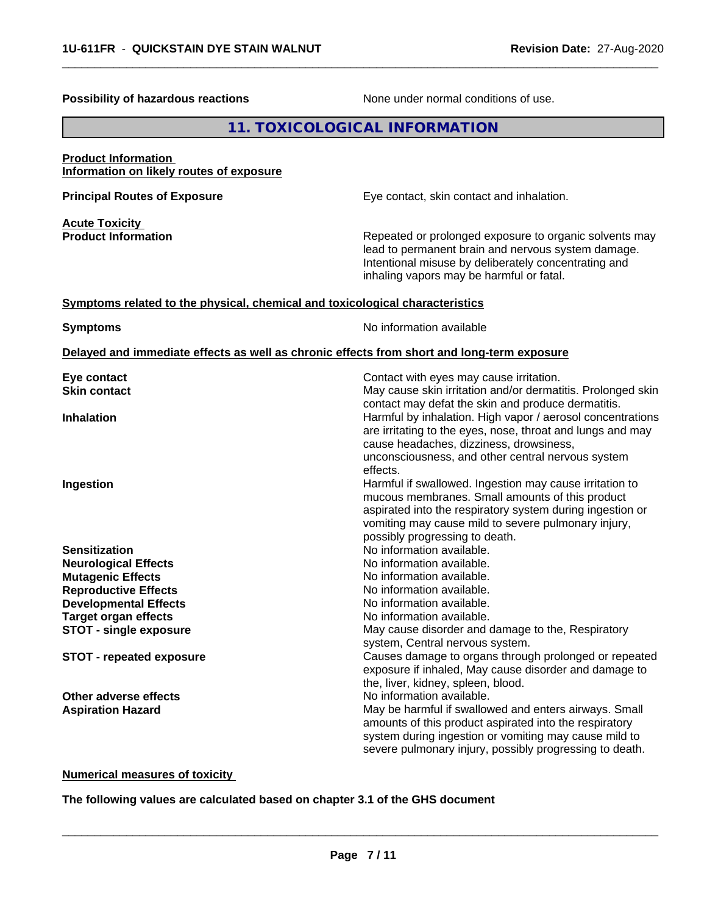| <b>Possibility of hazardous reactions</b>                                    | None under normal conditions of use.                                                                                                                                                                                                                                                       |
|------------------------------------------------------------------------------|--------------------------------------------------------------------------------------------------------------------------------------------------------------------------------------------------------------------------------------------------------------------------------------------|
|                                                                              | 11. TOXICOLOGICAL INFORMATION                                                                                                                                                                                                                                                              |
| <b>Product Information</b><br>Information on likely routes of exposure       |                                                                                                                                                                                                                                                                                            |
| <b>Principal Routes of Exposure</b>                                          | Eye contact, skin contact and inhalation.                                                                                                                                                                                                                                                  |
| <b>Acute Toxicity</b><br><b>Product Information</b>                          | Repeated or prolonged exposure to organic solvents may<br>lead to permanent brain and nervous system damage.<br>Intentional misuse by deliberately concentrating and<br>inhaling vapors may be harmful or fatal.                                                                           |
| Symptoms related to the physical, chemical and toxicological characteristics |                                                                                                                                                                                                                                                                                            |
| <b>Symptoms</b>                                                              | No information available                                                                                                                                                                                                                                                                   |
|                                                                              | Delayed and immediate effects as well as chronic effects from short and long-term exposure                                                                                                                                                                                                 |
| Eye contact<br><b>Skin contact</b>                                           | Contact with eyes may cause irritation.<br>May cause skin irritation and/or dermatitis. Prolonged skin                                                                                                                                                                                     |
| <b>Inhalation</b>                                                            | contact may defat the skin and produce dermatitis.<br>Harmful by inhalation. High vapor / aerosol concentrations<br>are irritating to the eyes, nose, throat and lungs and may<br>cause headaches, dizziness, drowsiness,<br>unconsciousness, and other central nervous system<br>effects. |
| Ingestion                                                                    | Harmful if swallowed. Ingestion may cause irritation to<br>mucous membranes. Small amounts of this product<br>aspirated into the respiratory system during ingestion or<br>vomiting may cause mild to severe pulmonary injury,<br>possibly progressing to death.                           |
| <b>Sensitization</b>                                                         | No information available.                                                                                                                                                                                                                                                                  |
| <b>Neurological Effects</b>                                                  | No information available.                                                                                                                                                                                                                                                                  |
| <b>Mutagenic Effects</b>                                                     | No information available.                                                                                                                                                                                                                                                                  |
| <b>Reproductive Effects</b><br><b>Developmental Effects</b>                  | No information available.<br>No information available.                                                                                                                                                                                                                                     |
| <b>Target organ effects</b>                                                  | No information available.                                                                                                                                                                                                                                                                  |
| <b>STOT - single exposure</b>                                                | May cause disorder and damage to the, Respiratory                                                                                                                                                                                                                                          |
| <b>STOT - repeated exposure</b>                                              | system, Central nervous system.<br>Causes damage to organs through prolonged or repeated<br>exposure if inhaled, May cause disorder and damage to<br>the, liver, kidney, spleen, blood.                                                                                                    |
| <b>Other adverse effects</b><br><b>Aspiration Hazard</b>                     | No information available.<br>May be harmful if swallowed and enters airways. Small<br>amounts of this product aspirated into the respiratory<br>system during ingestion or vomiting may cause mild to<br>severe pulmonary injury, possibly progressing to death.                           |
|                                                                              |                                                                                                                                                                                                                                                                                            |

 $\overline{\phantom{a}}$  ,  $\overline{\phantom{a}}$  ,  $\overline{\phantom{a}}$  ,  $\overline{\phantom{a}}$  ,  $\overline{\phantom{a}}$  ,  $\overline{\phantom{a}}$  ,  $\overline{\phantom{a}}$  ,  $\overline{\phantom{a}}$  ,  $\overline{\phantom{a}}$  ,  $\overline{\phantom{a}}$  ,  $\overline{\phantom{a}}$  ,  $\overline{\phantom{a}}$  ,  $\overline{\phantom{a}}$  ,  $\overline{\phantom{a}}$  ,  $\overline{\phantom{a}}$  ,  $\overline{\phantom{a}}$ 

**Numerical measures of toxicity**

**The following values are calculated based on chapter 3.1 of the GHS document**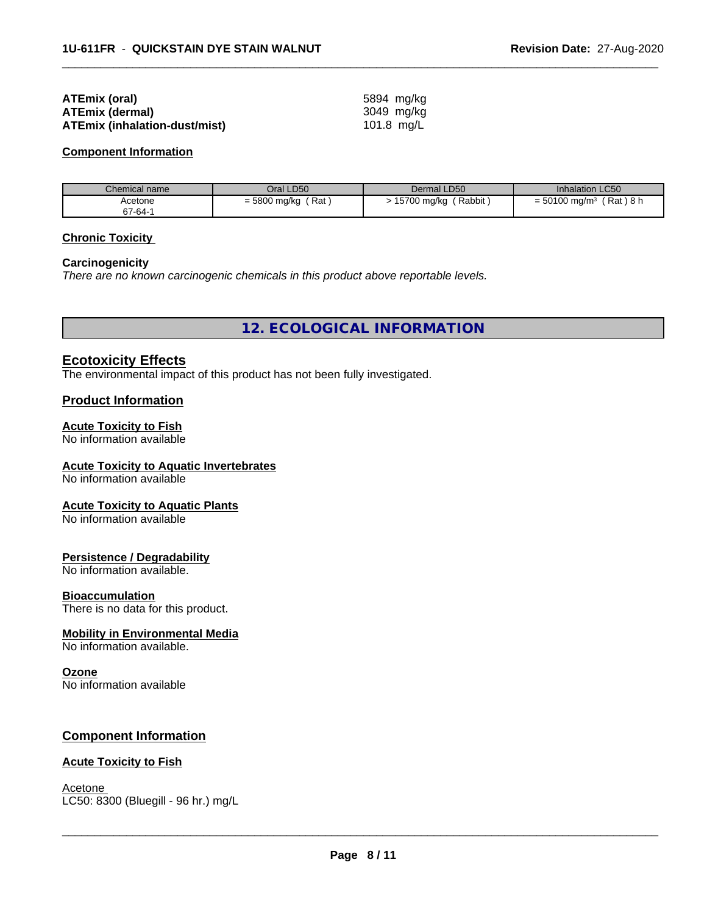| ATEmix (oral)                 | 5894 mg/kg |
|-------------------------------|------------|
| <b>ATEmix (dermal)</b>        | 3049 mg/ka |
| ATEmix (inhalation-dust/mist) | 101.8 mg/L |

#### **Component Information**

| Chemical name | Oral LD50                 | Dermal LD50           | <b>Inhalation LC50</b>                  |
|---------------|---------------------------|-----------------------|-----------------------------------------|
| Acetone       | Rat<br>$=$ 5800 mg/kg $'$ | Rabbit<br>15700 mg/kg | (Rat)8 h<br>$= 50100$ mg/m <sup>3</sup> |
| 67-64-1       |                           |                       |                                         |

 $\overline{\phantom{a}}$  ,  $\overline{\phantom{a}}$  ,  $\overline{\phantom{a}}$  ,  $\overline{\phantom{a}}$  ,  $\overline{\phantom{a}}$  ,  $\overline{\phantom{a}}$  ,  $\overline{\phantom{a}}$  ,  $\overline{\phantom{a}}$  ,  $\overline{\phantom{a}}$  ,  $\overline{\phantom{a}}$  ,  $\overline{\phantom{a}}$  ,  $\overline{\phantom{a}}$  ,  $\overline{\phantom{a}}$  ,  $\overline{\phantom{a}}$  ,  $\overline{\phantom{a}}$  ,  $\overline{\phantom{a}}$ 

# **Chronic Toxicity**

# **Carcinogenicity**

*There are no known carcinogenic chemicals in this product above reportable levels.*

**12. ECOLOGICAL INFORMATION**

# **Ecotoxicity Effects**

The environmental impact of this product has not been fully investigated.

# **Product Information**

# **Acute Toxicity to Fish**

No information available

# **Acute Toxicity to Aquatic Invertebrates**

No information available

# **Acute Toxicity to Aquatic Plants**

No information available

# **Persistence / Degradability**

No information available.

#### **Bioaccumulation**

There is no data for this product.

#### **Mobility in Environmental Media**

No information available.

# **Ozone**

No information available

# **Component Information**

# **Acute Toxicity to Fish**

Acetone \_\_\_\_\_\_\_\_\_\_\_\_\_\_\_\_\_\_\_\_\_\_\_\_\_\_\_\_\_\_\_\_\_\_\_\_\_\_\_\_\_\_\_\_\_\_\_\_\_\_\_\_\_\_\_\_\_\_\_\_\_\_\_\_\_\_\_\_\_\_\_\_\_\_\_\_\_\_\_\_\_\_\_\_\_\_\_\_\_\_\_\_\_ LC50: 8300 (Bluegill - 96 hr.) mg/L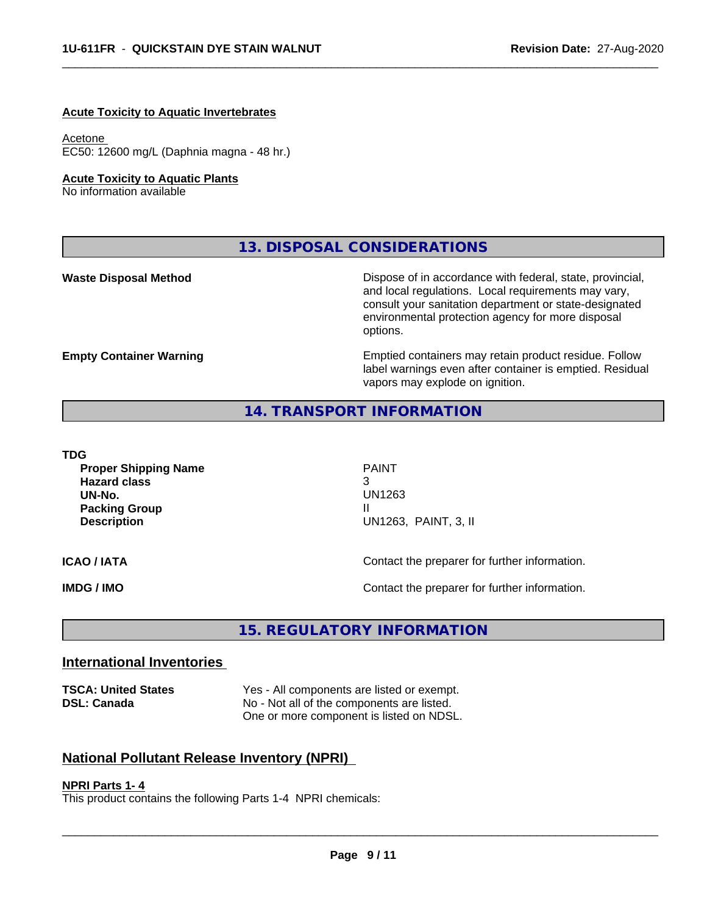### **Acute Toxicity to Aquatic Invertebrates**

# Acetone

EC50: 12600 mg/L (Daphnia magna - 48 hr.)

# **Acute Toxicity to Aquatic Plants**

No information available

**13. DISPOSAL CONSIDERATIONS**

**Waste Disposal Method** Mateur Dispose of in accordance with federal, state, provincial, and local regulations. Local requirements may vary, consult your sanitation department or state-designated environmental protection agency for more disposal options.

**Empty Container Warning <b>Emptied** Containers may retain product residue. Follow label warnings even after container is emptied. Residual vapors may explode on ignition.

# **14. TRANSPORT INFORMATION**

# **TDG**

**Proper Shipping Name** PAINT **Hazard class** 3 **UN-No.** UN1263 **Packing Group Case 20 April 2018 11 April 2019 11 April 2019 11 April 2019 11 April 2019 11 April 2019 11 April 2019 Description** UN1263, PAINT, 3, II

 $\overline{\phantom{a}}$  ,  $\overline{\phantom{a}}$  ,  $\overline{\phantom{a}}$  ,  $\overline{\phantom{a}}$  ,  $\overline{\phantom{a}}$  ,  $\overline{\phantom{a}}$  ,  $\overline{\phantom{a}}$  ,  $\overline{\phantom{a}}$  ,  $\overline{\phantom{a}}$  ,  $\overline{\phantom{a}}$  ,  $\overline{\phantom{a}}$  ,  $\overline{\phantom{a}}$  ,  $\overline{\phantom{a}}$  ,  $\overline{\phantom{a}}$  ,  $\overline{\phantom{a}}$  ,  $\overline{\phantom{a}}$ 

**ICAO / IATA ICAO / IATA Contact the preparer for further information.** 

**IMDG / IMO IMO Contact the preparer for further information.** 

# **15. REGULATORY INFORMATION**

# **International Inventories**

**TSCA: United States** Yes - All components are listed or exempt. **DSL: Canada** No - Not all of the components are listed. One or more component is listed on NDSL.

# **National Pollutant Release Inventory (NPRI)**

# **NPRI Parts 1- 4**

This product contains the following Parts 1-4 NPRI chemicals: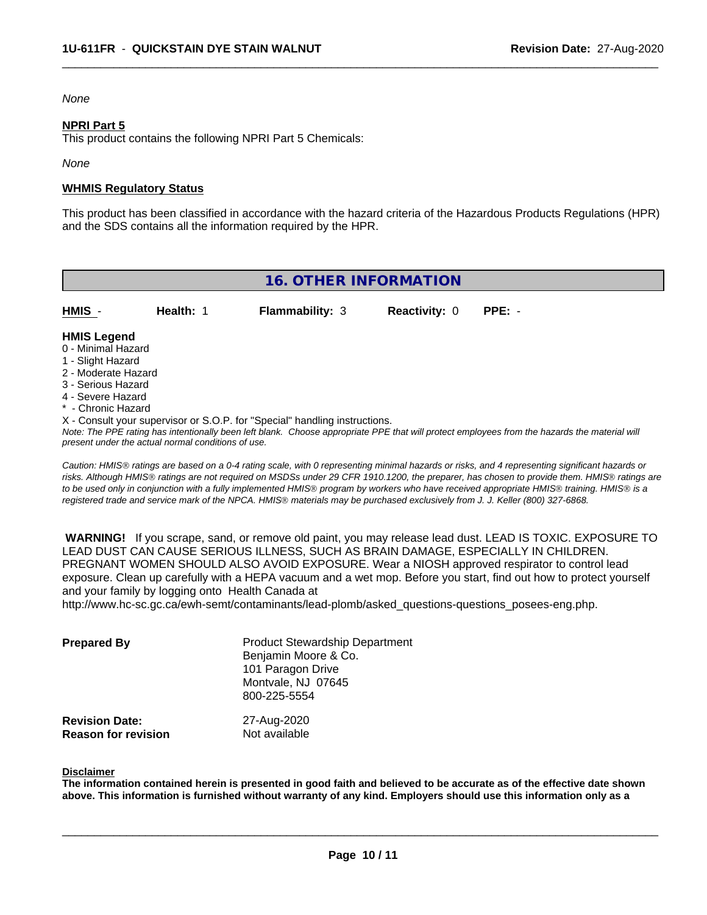# *None*

# **NPRI Part 5**

This product contains the following NPRI Part 5 Chemicals:

*None*

# **WHMIS Regulatory Status**

This product has been classified in accordance with the hazard criteria of the Hazardous Products Regulations (HPR) and the SDS contains all the information required by the HPR.

 $\overline{\phantom{a}}$  ,  $\overline{\phantom{a}}$  ,  $\overline{\phantom{a}}$  ,  $\overline{\phantom{a}}$  ,  $\overline{\phantom{a}}$  ,  $\overline{\phantom{a}}$  ,  $\overline{\phantom{a}}$  ,  $\overline{\phantom{a}}$  ,  $\overline{\phantom{a}}$  ,  $\overline{\phantom{a}}$  ,  $\overline{\phantom{a}}$  ,  $\overline{\phantom{a}}$  ,  $\overline{\phantom{a}}$  ,  $\overline{\phantom{a}}$  ,  $\overline{\phantom{a}}$  ,  $\overline{\phantom{a}}$ 

| <b>16. OTHER INFORMATION</b>                                                                                                                                                                                                                                                      |           |                        |                      |          |  |  |
|-----------------------------------------------------------------------------------------------------------------------------------------------------------------------------------------------------------------------------------------------------------------------------------|-----------|------------------------|----------------------|----------|--|--|
| HMIS -                                                                                                                                                                                                                                                                            | Health: 1 | <b>Flammability: 3</b> | <b>Reactivity: 0</b> | $PPE: -$ |  |  |
| <b>HMIS Legend</b><br>0 - Minimal Hazard<br>1 - Slight Hazard<br>2 - Moderate Hazard<br>3 - Serious Hazard<br>4 - Severe Hazard<br>* - Chronic Hazard                                                                                                                             |           |                        |                      |          |  |  |
| X - Consult your supervisor or S.O.P. for "Special" handling instructions.<br>Note: The PPE rating has intentionally been left blank. Choose appropriate PPE that will protect employees from the hazards the material will<br>present under the actual normal conditions of use. |           |                        |                      |          |  |  |

*Caution: HMISÒ ratings are based on a 0-4 rating scale, with 0 representing minimal hazards or risks, and 4 representing significant hazards or risks. Although HMISÒ ratings are not required on MSDSs under 29 CFR 1910.1200, the preparer, has chosen to provide them. HMISÒ ratings are to be used only in conjunction with a fully implemented HMISÒ program by workers who have received appropriate HMISÒ training. HMISÒ is a registered trade and service mark of the NPCA. HMISÒ materials may be purchased exclusively from J. J. Keller (800) 327-6868.*

 **WARNING!** If you scrape, sand, or remove old paint, you may release lead dust. LEAD IS TOXIC. EXPOSURE TO LEAD DUST CAN CAUSE SERIOUS ILLNESS, SUCH AS BRAIN DAMAGE, ESPECIALLY IN CHILDREN. PREGNANT WOMEN SHOULD ALSO AVOID EXPOSURE.Wear a NIOSH approved respirator to control lead exposure. Clean up carefully with a HEPA vacuum and a wet mop. Before you start, find out how to protect yourself and your family by logging onto Health Canada at

http://www.hc-sc.gc.ca/ewh-semt/contaminants/lead-plomb/asked\_questions-questions\_posees-eng.php.

| <b>Prepared By</b>                                  | <b>Product Stewardship Department</b><br>Benjamin Moore & Co.<br>101 Paragon Drive<br>Montvale, NJ 07645<br>800-225-5554 |  |
|-----------------------------------------------------|--------------------------------------------------------------------------------------------------------------------------|--|
| <b>Revision Date:</b><br><b>Reason for revision</b> | 27-Aug-2020<br>Not available                                                                                             |  |

#### **Disclaimer**

The information contained herein is presented in good faith and believed to be accurate as of the effective date shown above. This information is furnished without warranty of any kind. Employers should use this information only as a